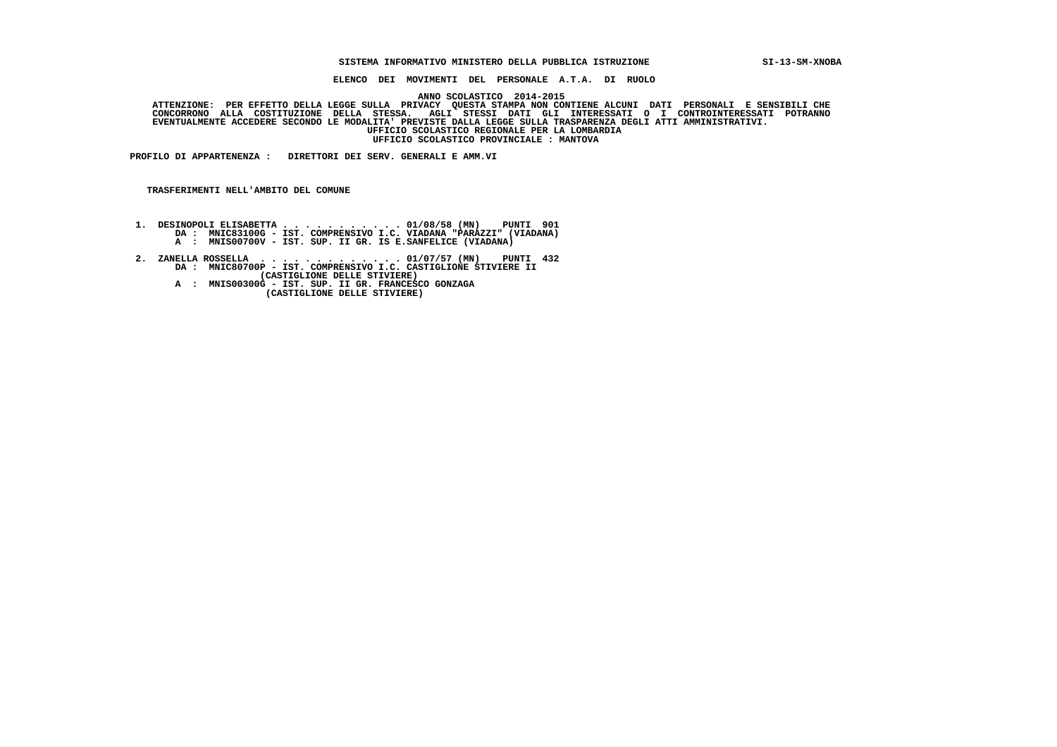## **SISTEMA INFORMATIVO MINISTERO DELLA PUBBLICA ISTRUZIONE SI-13-SM-XNOBA**

 **ELENCO DEI MOVIMENTI DEL PERSONALE A.T.A. DI RUOLO**

 **ANNO SCOLASTICO 2014-2015 ATTENZIONE: PER EFFETTO DELLA LEGGE SULLA PRIVACY QUESTA STAMPA NON CONTIENE ALCUNI DATI PERSONALI E SENSIBILI CHE**

  **CONCORRONO ALLA COSTITUZIONE DELLA STESSA. AGLI STESSI DATI GLI INTERESSATI O I CONTROINTERESSATI POTRANNO EVENTUALMENTE ACCEDERE SECONDO LE MODALITA' PREVISTE DALLA LEGGE SULLA TRASPARENZA DEGLI ATTI AMMINISTRATIVI. UFFICIO SCOLASTICO REGIONALE PER LA LOMBARDIA UFFICIO SCOLASTICO PROVINCIALE : MANTOVA**

 **PROFILO DI APPARTENENZA : DIRETTORI DEI SERV. GENERALI E AMM.VI**

 **TRASFERIMENTI NELL'AMBITO DEL COMUNE**

- **1. DESINOPOLI ELISABETTA . . . . . . . . . . . 01/08/58 (MN) PUNTI 901 DA : MNIC83100G IST. COMPRENSIVO I.C. VIADANA "PARAZZI" (VIADANA) A : MNIS00700V - IST. SUP. II GR. IS E.SANFELICE (VIADANA)**
- **2. ZANELLA ROSSELLA . . . . . . . . . . . . . 01/07/57 (MN) PUNTI 432 DA : MNIC80700P IST. COMPRENSIVO I.C. CASTIGLIONE STIVIERE II**
- **(CASTIGLIONE DELLE STIVIERE) A : MNIS00300G IST. SUP. II GR. FRANCESCO GONZAGA (CASTIGLIONE DELLE STIVIERE)**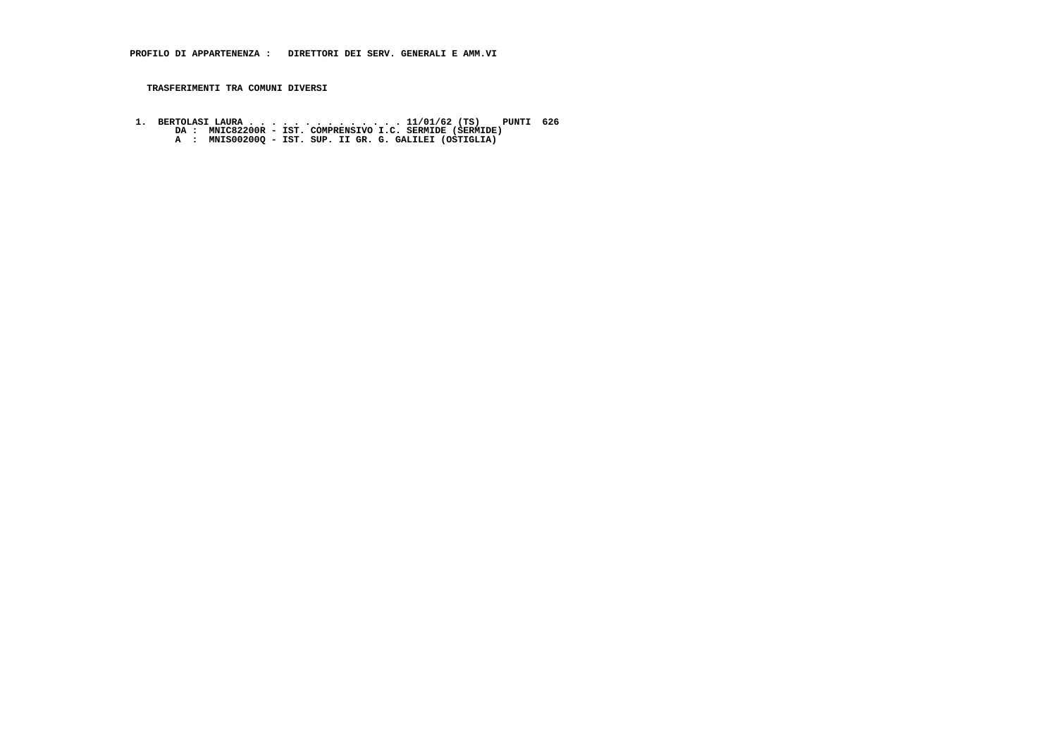**1. BERTOLASI LAURA . . . . . . . . . . . . . . 11/01/62 (TS) PUNTI 626 DA : MNIC82200R - IST. COMPRENSIVO I.C. SERMIDE (SERMIDE) A : MNIS00200Q - IST. SUP. II GR. G. GALILEI (OSTIGLIA)**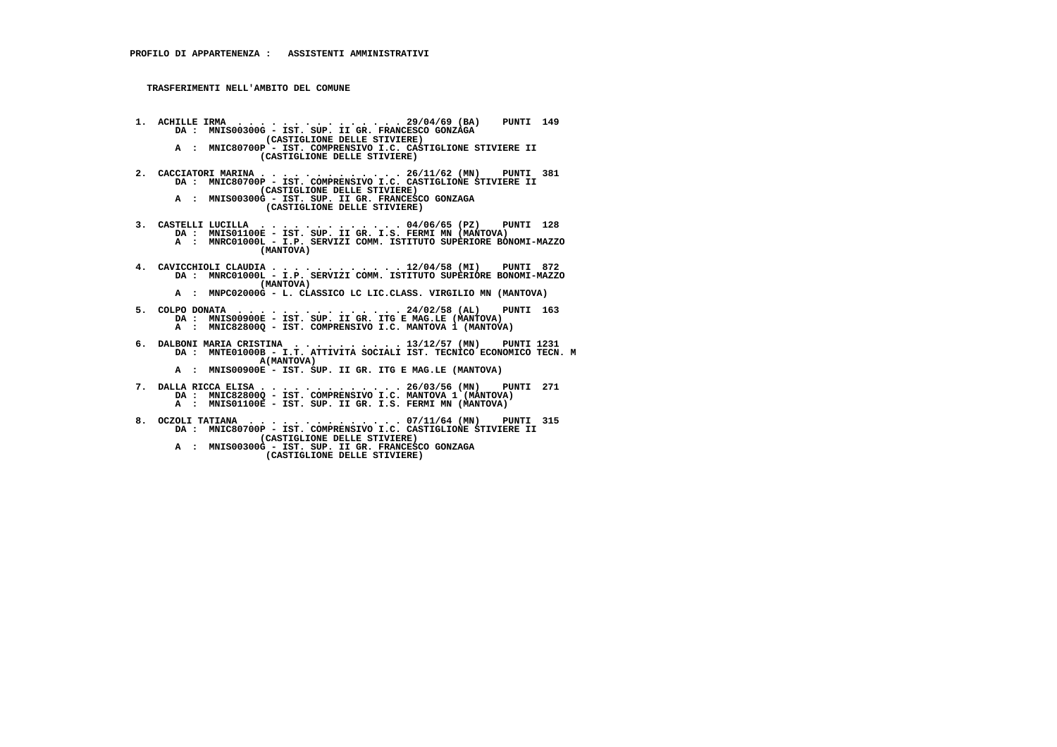**TRASFERIMENTI NELL'AMBITO DEL COMUNE**

- **1. ACHILLE IRMA . . . . . . . . . . . . . . . 29/04/69 (BA) PUNTI 149 DA : MNIS00300G IST. SUP. II GR. FRANCESCO GONZAGA (CASTIGLIONE DELLE STIVIERE) A : MNIC80700P - IST. COMPRENSIVO I.C. CASTIGLIONE STIVIERE II (CASTIGLIONE DELLE STIVIERE)**
- **2. CACCIATORI MARINA . . . . . . . . . . . . . 26/11/62 (MN) PUNTI 381 DA : MNIC80700P IST. COMPRENSIVO I.C. CASTIGLIONE STIVIERE II (CASTIGLIONE DELLE STIVIERE)**
- **A : MNIS00300G IST. SUP. II GR. FRANCESCO GONZAGA (CASTIGLIONE DELLE STIVIERE)**
- **3. CASTELLI LUCILLA . . . . . . . . . . . . . 04/06/65 (PZ) PUNTI 128 DA : MNIS01100E IST. SUP. II GR. I.S. FERMI MN (MANTOVA) A : MNRC01000L - I.P. SERVIZI COMM. ISTITUTO SUPERIORE BONOMI-MAZZO (MANTOVA)**
- **4. CAVICCHIOLI CLAUDIA . . . . . . . . . . . . 12/04/58 (MI) PUNTI 872 DA : MNRC01000L - I.P. SERVIZI COMM. ISTITUTO SUPERIORE BONOMI-MAZZO (MANTOVA)**
- **A : MNPC02000G L. CLASSICO LC LIC.CLASS. VIRGILIO MN (MANTOVA)**
- **5. COLPO DONATA . . . . . . . . . . . . . . . 24/02/58 (AL) PUNTI 163 DA : MNIS00900E IST. SUP. II GR. ITG E MAG.LE (MANTOVA) A : MNIC82800Q - IST. COMPRENSIVO I.C. MANTOVA 1 (MANTOVA)**
- **6. DALBONI MARIA CRISTINA . . . . . . . . . . 13/12/57 (MN) PUNTI 1231 DA : MNTE01000B I.T. ATTIVITA SOCIALI IST. TECNICO ECONOMICO TECN. M A(MANTOVA) A : MNIS00900E - IST. SUP. II GR. ITG E MAG.LE (MANTOVA)**
	- **7. DALLA RICCA ELISA . . . . . . . . . . . . . 26/03/56 (MN) PUNTI 271 DA : MNIC82800Q - IST. COMPRENSIVO I.C. MANTOVA 1 (MANTOVA) A : MNIS01100E - IST. SUP. II GR. I.S. FERMI MN (MANTOVA)**
- **8. OCZOLI TATIANA . . . . . . . . . . . . . . 07/11/64 (MN) PUNTI 315 DA : MNIC80700P IST. COMPRENSIVO I.C. CASTIGLIONE STIVIERE II (CASTIGLIONE DELLE STIVIERE)**
- **A : MNIS00300G IST. SUP. II GR. FRANCESCO GONZAGA (CASTIGLIONE DELLE STIVIERE)**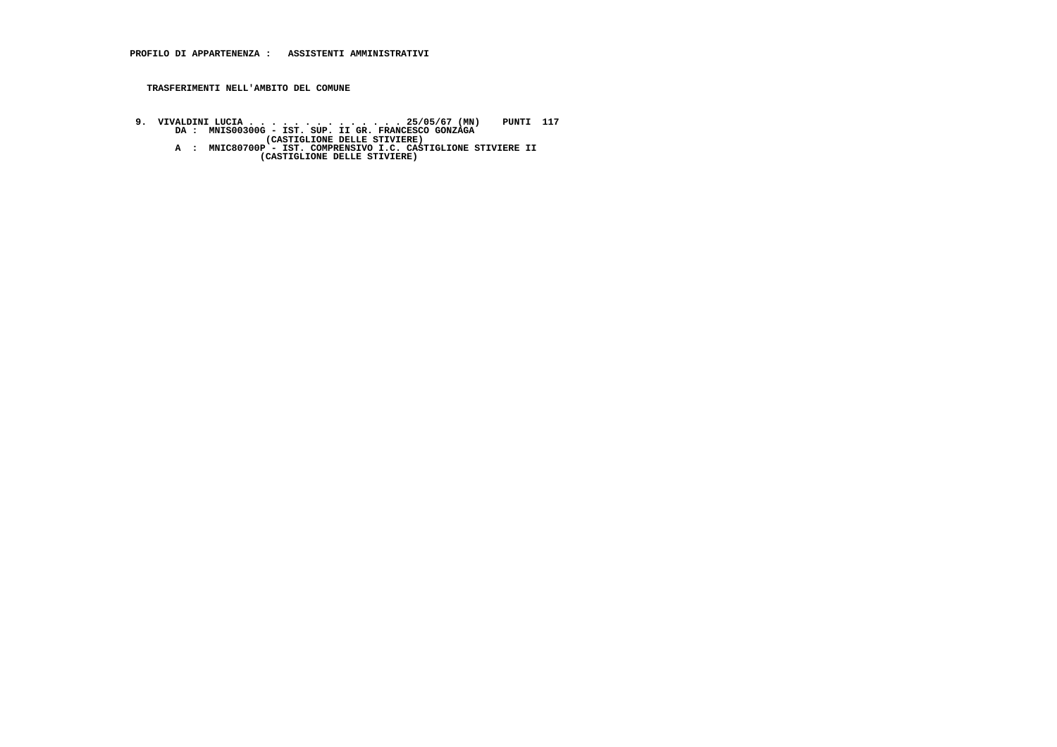## **TRASFERIMENTI NELL'AMBITO DEL COMUNE**

9. VIVALDINI LUCIA . . . . . . . . . . . . . . . 25/05/67 (MN) PUNTI 117<br>DA : MNIS00300G - IST. SUP. II GR. FRANCESCO GONZAGA<br>(CASTIGLIONE DELLE STIVIERE)<br>A : MNIC80700P - IST. COMPRENSIVO I.C. CASTIGLIONE STIVIERE II<br>(CAS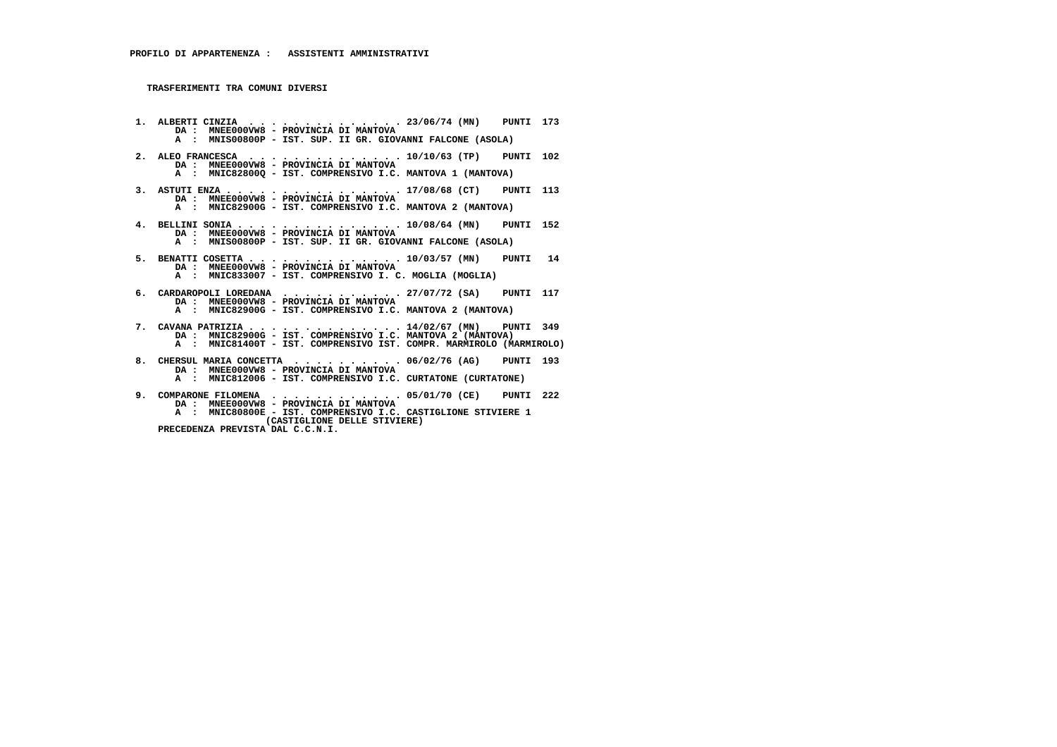**1. ALBERTI CINZIA . . . . . . . . . . . . . . 23/06/74 (MN) PUNTI 173 DA : MNEE000VW8 - PROVINCIA DI MANTOVA A : MNIS00800P - IST. SUP. II GR. GIOVANNI FALCONE (ASOLA) 2. ALEO FRANCESCA . . . . . . . . . . . . . . 10/10/63 (TP) PUNTI 102 DA : MNEE000VW8 - PROVINCIA DI MANTOVA A : MNIC82800Q - IST. COMPRENSIVO I.C. MANTOVA 1 (MANTOVA) 3. ASTUTI ENZA . . . . . . . . . . . . . . . . 17/08/68 (CT) PUNTI 113 DA : MNEE000VW8 - PROVINCIA DI MANTOVA A : MNIC82900G - IST. COMPRENSIVO I.C. MANTOVA 2 (MANTOVA) 4. BELLINI SONIA . . . . . . . . . . . . . . . 10/08/64 (MN) PUNTI 152 DA : MNEE000VW8 - PROVINCIA DI MANTOVA A : MNIS00800P - IST. SUP. II GR. GIOVANNI FALCONE (ASOLA) 5. BENATTI COSETTA . . . . . . . . . . . . . . 10/03/57 (MN) PUNTI 14 DA : MNEE000VW8 - PROVINCIA DI MANTOVA A : MNIC833007 - IST. COMPRENSIVO I. C. MOGLIA (MOGLIA) 6. CARDAROPOLI LOREDANA . . . . . . . . . . . 27/07/72 (SA) PUNTI 117 DA : MNEE000VW8 - PROVINCIA DI MANTOVA A : MNIC82900G - IST. COMPRENSIVO I.C. MANTOVA 2 (MANTOVA) 7. CAVANA PATRIZIA . . . . . . . . . . . . . . 14/02/67 (MN) PUNTI 349 DA : MNIC82900G - IST. COMPRENSIVO I.C. MANTOVA 2 (MANTOVA) A : MNIC81400T - IST. COMPRENSIVO IST. COMPR. MARMIROLO (MARMIROLO) 8. CHERSUL MARIA CONCETTA . . . . . . . . . . 06/02/76 (AG) PUNTI 193 DA : MNEE000VW8 - PROVINCIA DI MANTOVA A : MNIC812006 - IST. COMPRENSIVO I.C. CURTATONE (CURTATONE) 9. COMPARONE FILOMENA . . . . . . . . . . . . 05/01/70 (CE) PUNTI 222 DA : MNEE000VW8 - PROVINCIA DI MANTOVA**

- **A : MNIC80800E IST. COMPRENSIVO I.C. CASTIGLIONE STIVIERE 1**
	- **(CASTIGLIONE DELLE STIVIERE)**
	- **PRECEDENZA PREVISTA DAL C.C.N.I.**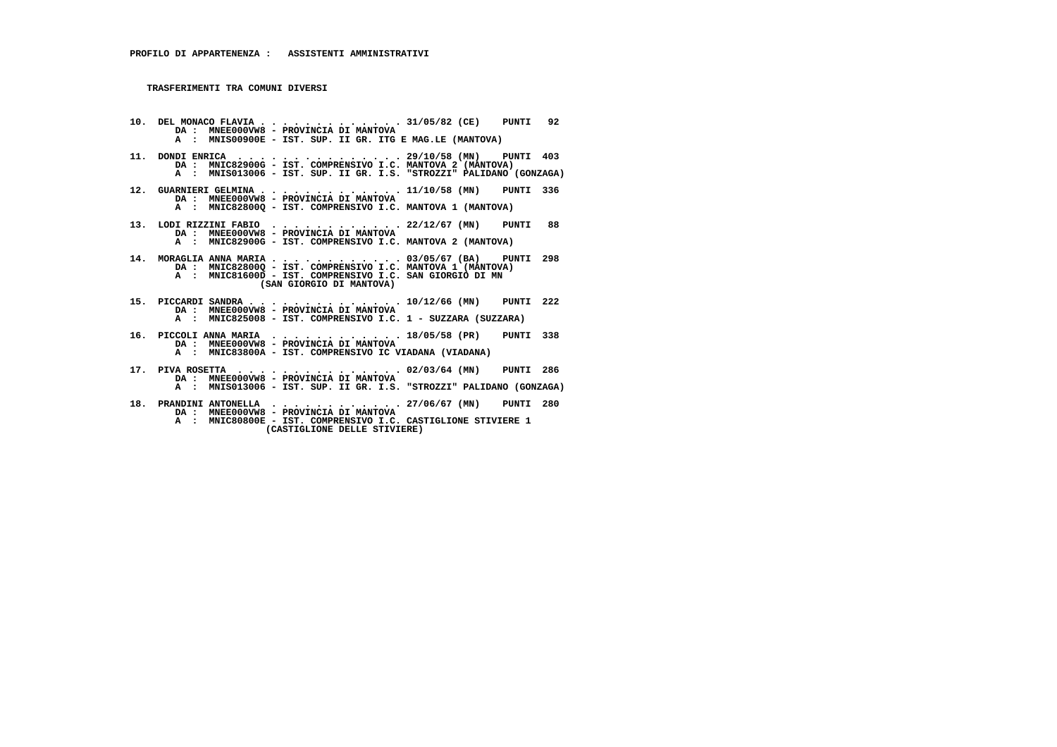**10. DEL MONACO FLAVIA . . . . . . . . . . . . . 31/05/82 (CE) PUNTI 92 DA : MNEE000VW8 - PROVINCIA DI MANTOVA A : MNIS00900E - IST. SUP. II GR. ITG E MAG.LE (MANTOVA) 11. DONDI ENRICA . . . . . . . . . . . . . . . 29/10/58 (MN) PUNTI 403**DA : MNIC82900G - IST. COMPRENSIVO I.C. MANTOVA 2 (MANTOVA)  **A : MNIS013006 - IST. SUP. II GR. I.S. "STROZZI" PALIDANO (GONZAGA) 12. GUARNIERI GELMINA . . . . . . . . . . . . . 11/10/58 (MN) PUNTI 336 DA : MNEE000VW8 - PROVINCIA DI MANTOVA A : MNIC82800Q - IST. COMPRENSIVO I.C. MANTOVA 1 (MANTOVA) 13. LODI RIZZINI FABIO . . . . . . . . . . . . 22/12/67 (MN) PUNTI 88 DA : MNEE000VW8 - PROVINCIA DI MANTOVA A : MNIC82900G - IST. COMPRENSIVO I.C. MANTOVA 2 (MANTOVA) 14. MORAGLIA ANNA MARIA . . . . . . . . . . . . 03/05/67 (BA) PUNTI 298 DA : MNIC82800Q - IST. COMPRENSIVO I.C. MANTOVA 1 (MANTOVA) A : MNIC81600D - IST. COMPRENSIVO I.C. SAN GIORGIO DI MN (SAN GIORGIO DI MANTOVA) 15. PICCARDI SANDRA . . . . . . . . . . . . . . 10/12/66 (MN) PUNTI 222 DA : MNEE000VW8 - PROVINCIA DI MANTOVA A : MNIC825008 - IST. COMPRENSIVO I.C. 1 - SUZZARA (SUZZARA) 16. PICCOLI ANNA MARIA . . . . . . . . . . . . 18/05/58 (PR) PUNTI 338 DA : MNEE000VW8 - PROVINCIA DI MANTOVA A : MNIC83800A - IST. COMPRENSIVO IC VIADANA (VIADANA) 17. PIVA ROSETTA . . . . . . . . . . . . . . . 02/03/64 (MN) PUNTI 286 DA : MNEE000VW8 - PROVINCIA DI MANTOVA**

- **A : MNIS013006 IST. SUP. II GR. I.S. "STROZZI" PALIDANO (GONZAGA)**
- **18. PRANDINI ANTONELLA . . . . . . . . . . . . 27/06/67 (MN) PUNTI 280 DA : MNEE000VW8 PROVINCIA DI MANTOVA A : MNIC80800E - IST. COMPRENSIVO I.C. CASTIGLIONE STIVIERE 1**
	- **(CASTIGLIONE DELLE STIVIERE)**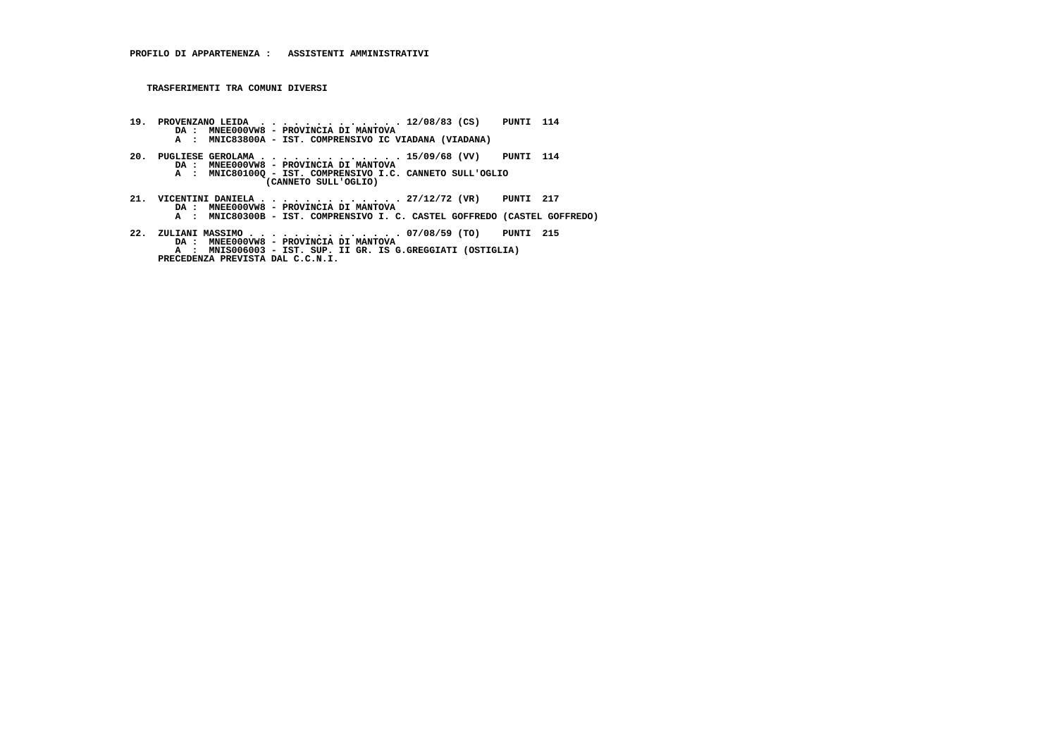- **19. PROVENZANO LEIDA . . . . . . . . . . . . . 12/08/83 (CS) PUNTI 114 DA : MNEE000VW8 PROVINCIA DI MANTOVA A : MNIC83800A - IST. COMPRENSIVO IC VIADANA (VIADANA) 20. PUGLIESE GEROLAMA . . . . . . . . . . . . . 15/09/68 (VV) PUNTI 114 DA : MNEE000VW8 - PROVINCIA DI MANTOVA A : MNIC80100Q - IST. COMPRENSIVO I.C. CANNETO SULL'OGLIO (CANNETO SULL'OGLIO)**
- **21. VICENTINI DANIELA . . . . . . . . . . . . . 27/12/72 (VR) PUNTI 217 DA : MNEE000VW8 PROVINCIA DI MANTOVA A : MNIC80300B IST. COMPRENSIVO I. C. CASTEL GOFFREDO (CASTEL GOFFREDO)**
- **22. ZULIANI MASSIMO . . . . . . . . . . . . . . 07/08/59 (TO) PUNTI 215 DA : MNEE000VW8 PROVINCIA DI MANTOVA A : MNIS006003 IST. SUP. II GR. IS G.GREGGIATI (OSTIGLIA) PRECEDENZA PREVISTA DAL C.C.N.I.**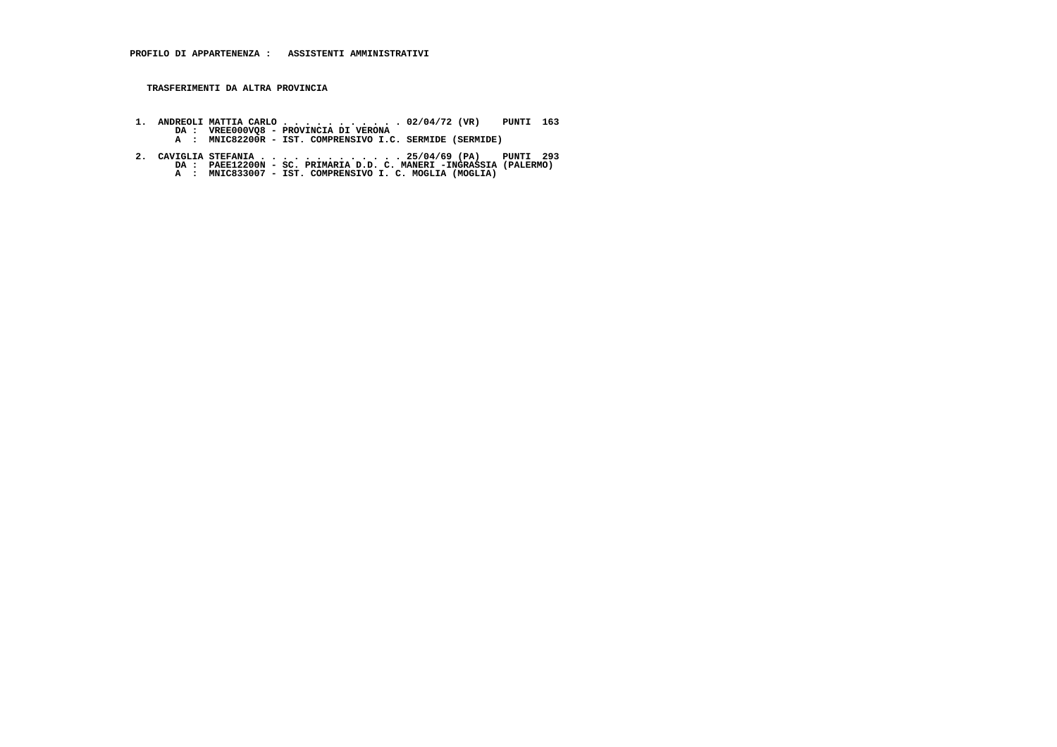**TRASFERIMENTI DA ALTRA PROVINCIA**

- **1. ANDREOLI MATTIA CARLO . . . . . . . . . . . 02/04/72 (VR) PUNTI 163 DA : VREE000VQ8 PROVINCIA DI VERONA A : MNIC82200R IST. COMPRENSIVO I.C. SERMIDE (SERMIDE)**
- **2. CAVIGLIA STEFANIA . . . . . . . . . . . . . 25/04/69 (PA) PUNTI 293 DA : PAEE12200N SC. PRIMARIA D.D. C. MANERI -INGRASSIA (PALERMO) A : MNIC833007 IST. COMPRENSIVO I. C. MOGLIA (MOGLIA)**
	-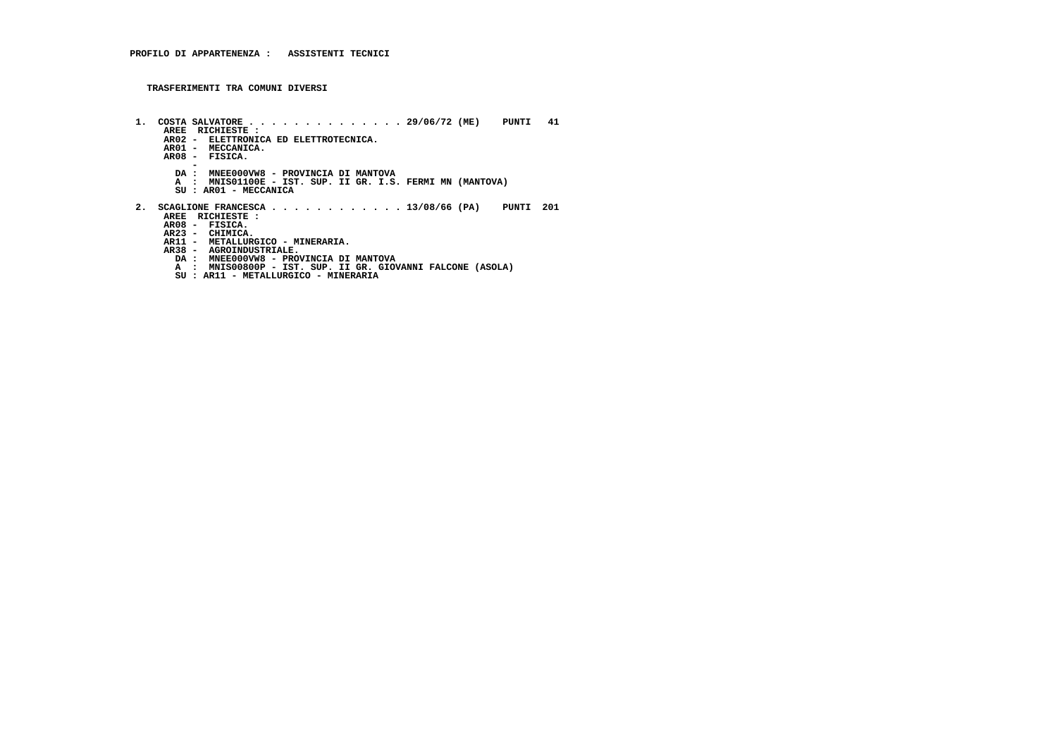- **1. COSTA SALVATORE . . . . . . . . . . . . . . 29/06/72 (ME) PUNTI 41 AREE RICHIESTE : AR02 - ELETTRONICA ED ELETTROTECNICA. AR01 - MECCANICA. AR08 - FISICA. - DA : MNEE000VW8 - PROVINCIA DI MANTOVA A : MNIS01100E - IST. SUP. II GR. I.S. FERMI MN (MANTOVA)**SU : AR01 - MECCANICA  **2. SCAGLIONE FRANCESCA . . . . . . . . . . . . 13/08/66 (PA) PUNTI 201 AREE RICHIESTE : AR23 - CHIMICA. AR11 - METALLURGICO - MINERARIA. AR08 - FISICA. AR38 - AGROINDUSTRIALE. DA : MNEE000VW8 - PROVINCIA DI MANTOVA A : MNIS00800P - IST. SUP. II GR. GIOVANNI FALCONE (ASOLA)**
	- **SU : AR11 METALLURGICO MINERARIA**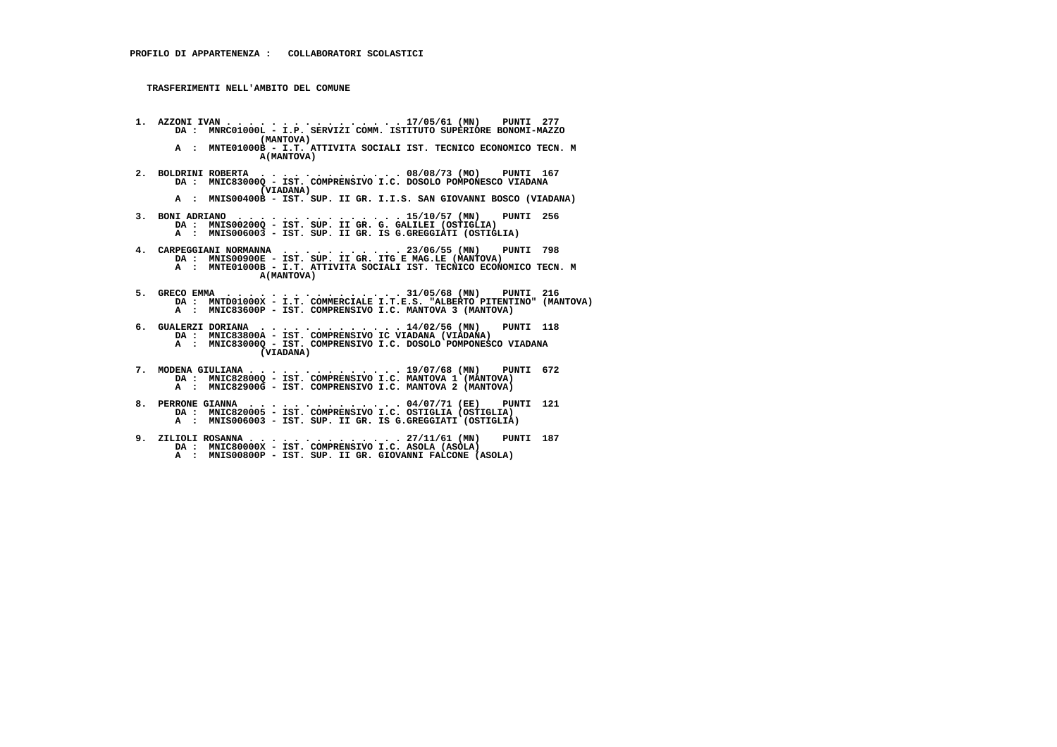**TRASFERIMENTI NELL'AMBITO DEL COMUNE**

 **(MANTOVA) A : MNTE01000B - I.T. ATTIVITA SOCIALI IST. TECNICO ECONOMICO TECN. M A(MANTOVA) 2. BOLDRINI ROBERTA . . . . . . . . . . . . . 08/08/73 (MO) PUNTI 167 DA : MNIC83000Q - IST. COMPRENSIVO I.C. DOSOLO POMPONESCO VIADANA (VIADANA) A : MNIS00400B - IST. SUP. II GR. I.I.S. SAN GIOVANNI BOSCO (VIADANA) 3. BONI ADRIANO . . . . . . . . . . . . . . . 15/10/57 (MN) PUNTI 256 DA : MNIS00200Q - IST. SUP. II GR. G. GALILEI (OSTIGLIA) A : MNIS006003 - IST. SUP. II GR. IS G.GREGGIATI (OSTIGLIA) 4. CARPEGGIANI NORMANNA . . . . . . . . . . . 23/06/55 (MN) PUNTI 798 DA : MNIS00900E - IST. SUP. II GR. ITG E MAG.LE (MANTOVA) A : MNTE01000B - I.T. ATTIVITA SOCIALI IST. TECNICO ECONOMICO TECN. M A(MANTOVA)**

 **1. AZZONI IVAN . . . . . . . . . . . . . . . . 17/05/61 (MN) PUNTI 277 DA : MNRC01000L - I.P. SERVIZI COMM. ISTITUTO SUPERIORE BONOMI-MAZZO**

- **5. GRECO EMMA . . . . . . . . . . . . . . . . 31/05/68 (MN) PUNTI 216 DA : MNTD01000X I.T. COMMERCIALE I.T.E.S. "ALBERTO PITENTINO" (MANTOVA)**A : MNIC83600P - IST. COMPRENSIVO I.C. MANTOVA 3 (MANTOVA)
- **6. GUALERZI DORIANA . . . . . . . . . . . . . 14/02/56 (MN) PUNTI 118 DA : MNIC83800A IST. COMPRENSIVO IC VIADANA (VIADANA) A : MNIC83000Q - IST. COMPRENSIVO I.C. DOSOLO POMPONESCO VIADANA (VIADANA)**
- **7. MODENA GIULIANA . . . . . . . . . . . . . . 19/07/68 (MN) PUNTI 672 DA : MNIC82800Q IST. COMPRENSIVO I.C. MANTOVA 1 (MANTOVA) A : MNIC82900G - IST. COMPRENSIVO I.C. MANTOVA 2 (MANTOVA)**
- **8. PERRONE GIANNA . . . . . . . . . . . . . . 04/07/71 (EE) PUNTI 121 DA : MNIC820005 IST. COMPRENSIVO I.C. OSTIGLIA (OSTIGLIA) A : MNIS006003 - IST. SUP. II GR. IS G.GREGGIATI (OSTIGLIA)**
- **9. ZILIOLI ROSANNA . . . . . . . . . . . . . . 27/11/61 (MN) PUNTI 187 DA : MNIC80000X IST. COMPRENSIVO I.C. ASOLA (ASOLA) A : MNIS00800P - IST. SUP. II GR. GIOVANNI FALCONE (ASOLA)**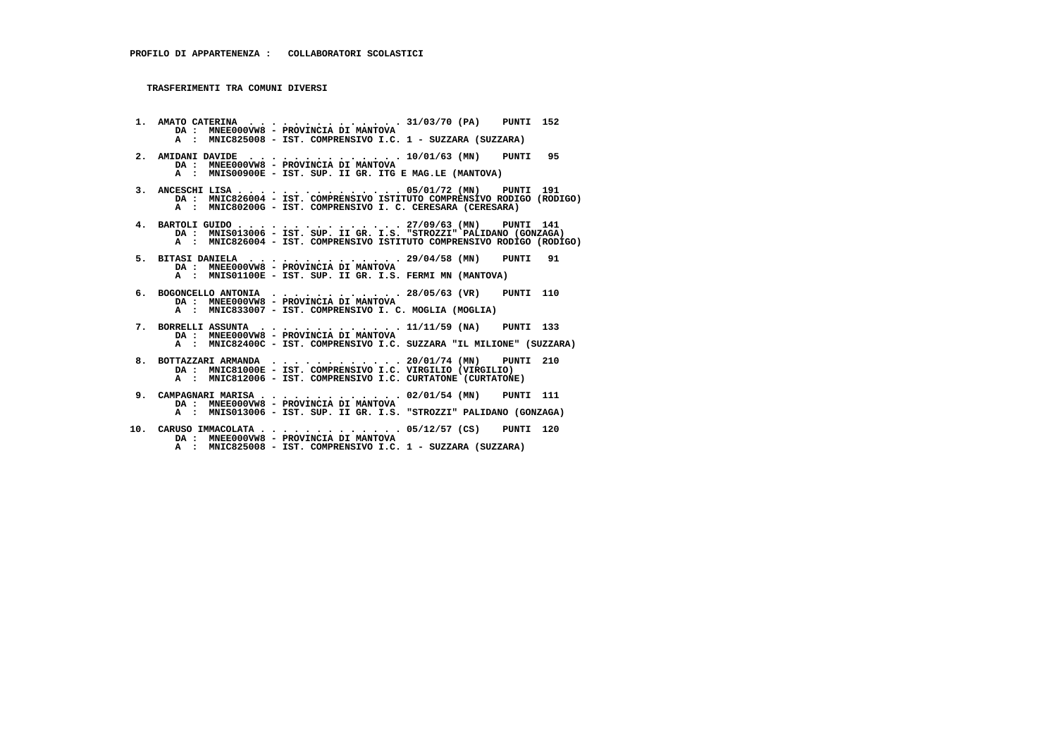**1. AMATO CATERINA . . . . . . . . . . . . . . 31/03/70 (PA) PUNTI 152 DA : MNEE000VW8 - PROVINCIA DI MANTOVA A : MNIC825008 - IST. COMPRENSIVO I.C. 1 - SUZZARA (SUZZARA) 2. AMIDANI DAVIDE . . . . . . . . . . . . . . 10/01/63 (MN) PUNTI 95 DA : MNEE000VW8 - PROVINCIA DI MANTOVA A : MNIS00900E - IST. SUP. II GR. ITG E MAG.LE (MANTOVA) 3. ANCESCHI LISA . . . . . . . . . . . . . . . 05/01/72 (MN) PUNTI 191 DA : MNIC826004 - IST. COMPRENSIVO ISTITUTO COMPRENSIVO RODIGO (RODIGO) A : MNIC80200G - IST. COMPRENSIVO I. C. CERESARA (CERESARA) 4. BARTOLI GUIDO . . . . . . . . . . . . . . . 27/09/63 (MN) PUNTI 141 DA : MNIS013006 - IST. SUP. II GR. I.S. "STROZZI" PALIDANO (GONZAGA) A : MNIC826004 - IST. COMPRENSIVO ISTITUTO COMPRENSIVO RODIGO (RODIGO) 5. BITASI DANIELA . . . . . . . . . . . . . . 29/04/58 (MN) PUNTI 91 DA : MNEE000VW8 - PROVINCIA DI MANTOVA A : MNIS01100E - IST. SUP. II GR. I.S. FERMI MN (MANTOVA) 6. BOGONCELLO ANTONIA . . . . . . . . . . . . 28/05/63 (VR) PUNTI 110 DA : MNEE000VW8 - PROVINCIA DI MANTOVA A : MNIC833007 - IST. COMPRENSIVO I. C. MOGLIA (MOGLIA) 7. BORRELLI ASSUNTA . . . . . . . . . . . . . 11/11/59 (NA) PUNTI 133 DA : MNEE000VW8 - PROVINCIA DI MANTOVA A : MNIC82400C - IST. COMPRENSIVO I.C. SUZZARA "IL MILIONE" (SUZZARA) 8. BOTTAZZARI ARMANDA . . . . . . . . . . . . 20/01/74 (MN) PUNTI 210 DA : MNIC81000E - IST. COMPRENSIVO I.C. VIRGILIO (VIRGILIO) A : MNIC812006 - IST. COMPRENSIVO I.C. CURTATONE (CURTATONE) 9. CAMPAGNARI MARISA . . . . . . . . . . . . . 02/01/54 (MN) PUNTI 111 DA : MNEE000VW8 - PROVINCIA DI MANTOVA A : MNIS013006 - IST. SUP. II GR. I.S. "STROZZI" PALIDANO (GONZAGA) 10. CARUSO IMMACOLATA . . . . . . . . . . . . . 05/12/57 (CS) PUNTI 120 DA : MNEE000VW8 - PROVINCIA DI MANTOVA**

 **A : MNIC825008 - IST. COMPRENSIVO I.C. 1 - SUZZARA (SUZZARA)**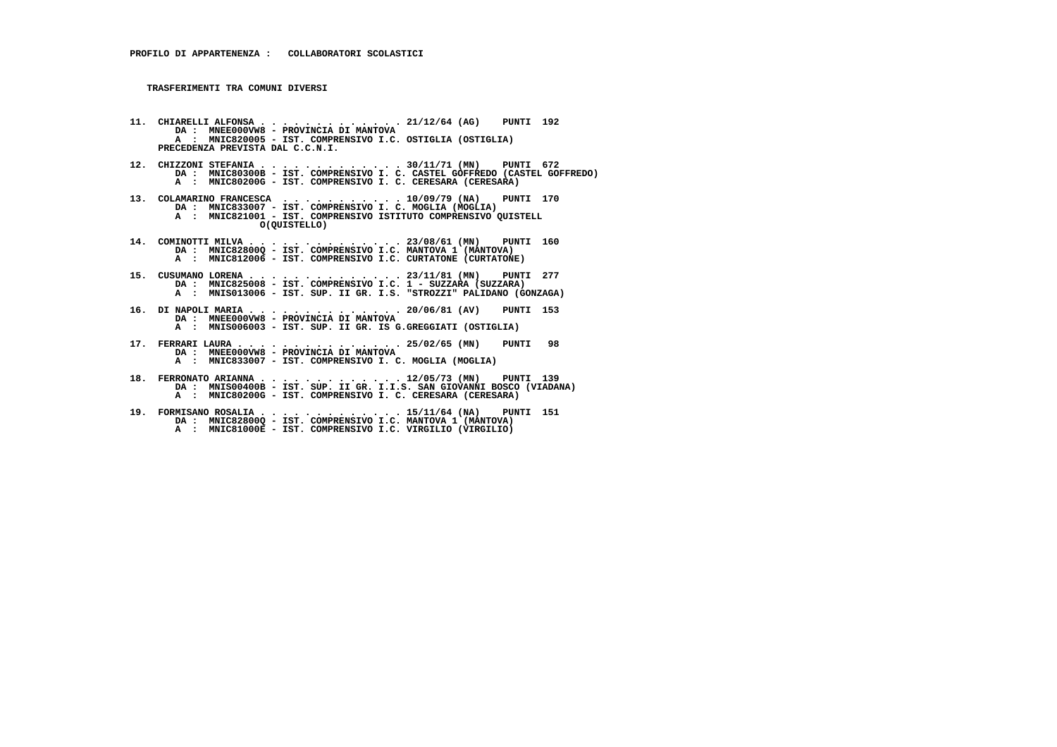- **11. CHIARELLI ALFONSA . . . . . . . . . . . . . 21/12/64 (AG) PUNTI 192 DA : MNEE000VW8 PROVINCIA DI MANTOVA A : MNIC820005 - IST. COMPRENSIVO I.C. OSTIGLIA (OSTIGLIA) PRECEDENZA PREVISTA DAL C.C.N.I.**
- **12. CHIZZONI STEFANIA . . . . . . . . . . . . . 30/11/71 (MN) PUNTI 672 DA : MNIC80300B IST. COMPRENSIVO I. C. CASTEL GOFFREDO (CASTEL GOFFREDO) A : MNIC80200G - IST. COMPRENSIVO I. C. CERESARA (CERESARA)**
- **13. COLAMARINO FRANCESCA . . . . . . . . . . . 10/09/79 (NA) PUNTI 170 DA : MNIC833007 IST. COMPRENSIVO I. C. MOGLIA (MOGLIA) A : MNIC821001 IST. COMPRENSIVO ISTITUTO COMPRENSIVO QUISTELL O(QUISTELLO)**
- **14. COMINOTTI MILVA . . . . . . . . . . . . . . 23/08/61 (MN) PUNTI 160 DA : MNIC82800Q IST. COMPRENSIVO I.C. MANTOVA 1 (MANTOVA) A : MNIC812006 IST. COMPRENSIVO I.C. CURTATONE (CURTATONE)**
- **15. CUSUMANO LORENA . . . . . . . . . . . . . . 23/11/81 (MN) PUNTI 277 DA : MNIC825008 IST. COMPRENSIVO I.C. 1 SUZZARA (SUZZARA) A : MNIS013006 - IST. SUP. II GR. I.S. "STROZZI" PALIDANO (GONZAGA)**
- **16. DI NAPOLI MARIA . . . . . . . . . . . . . . 20/06/81 (AV) PUNTI 153 DA : MNEE000VW8 PROVINCIA DI MANTOVA A : MNIS006003 - IST. SUP. II GR. IS G.GREGGIATI (OSTIGLIA)**
- **17. FERRARI LAURA . . . . . . . . . . . . . . . 25/02/65 (MN) PUNTI 98 DA : MNEE000VW8 PROVINCIA DI MANTOVA A : MNIC833007 - IST. COMPRENSIVO I. C. MOGLIA (MOGLIA)**
- **18. FERRONATO ARIANNA . . . . . . . . . . . . . 12/05/73 (MN) PUNTI 139 DA : MNIS00400B IST. SUP. II GR. I.I.S. SAN GIOVANNI BOSCO (VIADANA) A : MNIC80200G - IST. COMPRENSIVO I. C. CERESARA (CERESARA)**
- **19. FORMISANO ROSALIA . . . . . . . . . . . . . 15/11/64 (NA) PUNTI 151 DA : MNIC82800Q - IST. COMPRENSIVO I.C. MANTOVA 1 (MANTOVA) A : MNIC81000E - IST. COMPRENSIVO I.C. VIRGILIO (VIRGILIO)**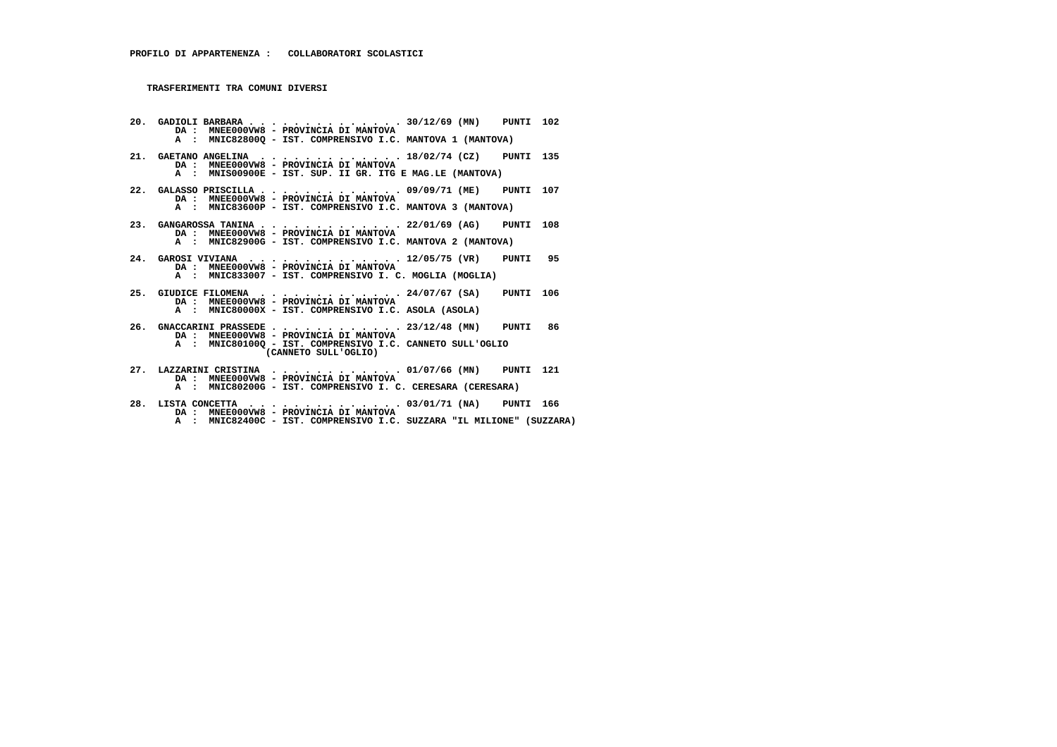**20. GADIOLI BARBARA . . . . . . . . . . . . . . 30/12/69 (MN) PUNTI 102 DA : MNEE000VW8 - PROVINCIA DI MANTOVA A : MNIC82800Q - IST. COMPRENSIVO I.C. MANTOVA 1 (MANTOVA) 21. GAETANO ANGELINA . . . . . . . . . . . . . 18/02/74 (CZ) PUNTI 135 DA : MNEE000VW8 - PROVINCIA DI MANTOVA A : MNIS00900E - IST. SUP. II GR. ITG E MAG.LE (MANTOVA) 22. GALASSO PRISCILLA . . . . . . . . . . . . . 09/09/71 (ME) PUNTI 107 DA : MNEE000VW8 - PROVINCIA DI MANTOVA A : MNIC83600P - IST. COMPRENSIVO I.C. MANTOVA 3 (MANTOVA) 23. GANGAROSSA TANINA . . . . . . . . . . . . . 22/01/69 (AG) PUNTI 108 DA : MNEE000VW8 - PROVINCIA DI MANTOVA A : MNIC82900G - IST. COMPRENSIVO I.C. MANTOVA 2 (MANTOVA) 24. GAROSI VIVIANA . . . . . . . . . . . . . . 12/05/75 (VR) PUNTI 95 DA : MNEE000VW8 - PROVINCIA DI MANTOVA A : MNIC833007 - IST. COMPRENSIVO I. C. MOGLIA (MOGLIA) 25. GIUDICE FILOMENA . . . . . . . . . . . . . 24/07/67 (SA) PUNTI 106 DA : MNEE000VW8 - PROVINCIA DI MANTOVA A : MNIC80000X - IST. COMPRENSIVO I.C. ASOLA (ASOLA) 26. GNACCARINI PRASSEDE . . . . . . . . . . . . 23/12/48 (MN) PUNTI 86 DA : MNEE000VW8 - PROVINCIA DI MANTOVA A : MNIC80100Q - IST. COMPRENSIVO I.C. CANNETO SULL'OGLIO (CANNETO SULL'OGLIO) 27. LAZZARINI CRISTINA . . . . . . . . . . . . 01/07/66 (MN) PUNTI 121 DA : MNEE000VW8 - PROVINCIA DI MANTOVA A : MNIC80200G - IST. COMPRENSIVO I. C. CERESARA (CERESARA)**

- **28. LISTA CONCETTA . . . . . . . . . . . . . . 03/01/71 (NA) PUNTI 166 DA : MNEE000VW8 PROVINCIA DI MANTOVA**
- **A : MNIC82400C IST. COMPRENSIVO I.C. SUZZARA "IL MILIONE" (SUZZARA)**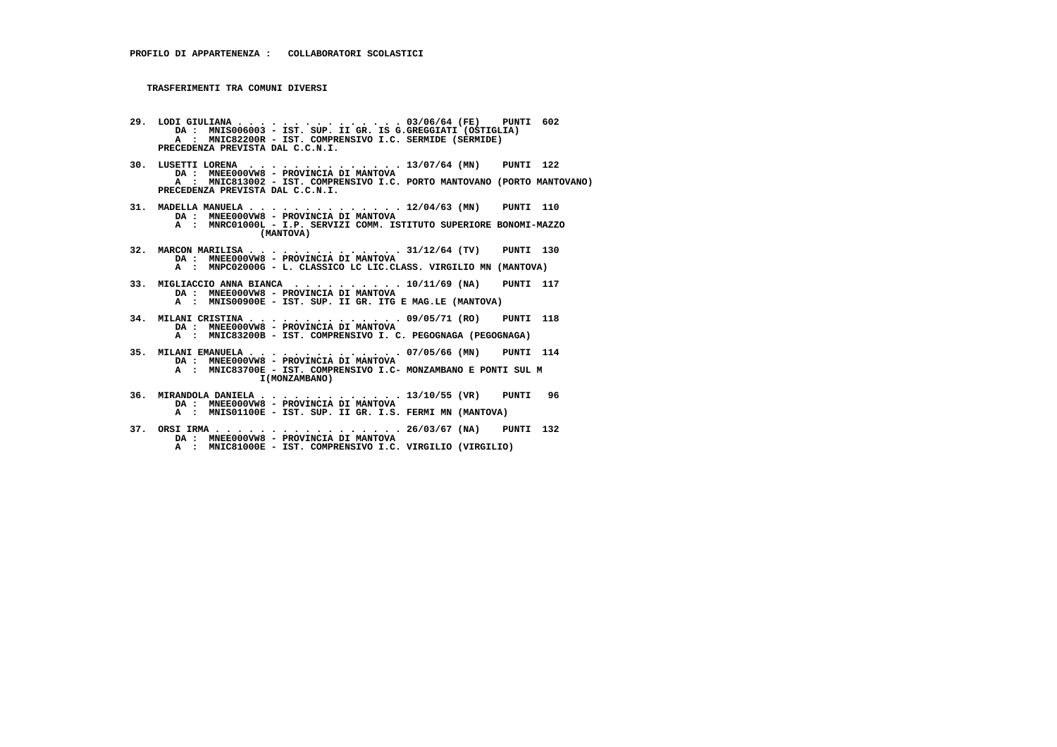- **29. LODI GIULIANA . . . . . . . . . . . . . . . 03/06/64 (FE) PUNTI 602 DA : MNIS006003 IST. SUP. II GR. IS G.GREGGIATI (OSTIGLIA) A : MNIC82200R - IST. COMPRENSIVO I.C. SERMIDE (SERMIDE) PRECEDENZA PREVISTA DAL C.C.N.I.**
- **30. LUSETTI LORENA . . . . . . . . . . . . . . 13/07/64 (MN) PUNTI 122 DA : MNEE000VW8 PROVINCIA DI MANTOVA A : MNIC813002 - IST. COMPRENSIVO I.C. PORTO MANTOVANO (PORTO MANTOVANO) PRECEDENZA PREVISTA DAL C.C.N.I.**
- **31. MADELLA MANUELA . . . . . . . . . . . . . . 12/04/63 (MN) PUNTI 110 DA : MNEE000VW8 PROVINCIA DI MANTOVA A : MNRC01000L - I.P. SERVIZI COMM. ISTITUTO SUPERIORE BONOMI-MAZZO (MANTOVA)**
- **32. MARCON MARILISA . . . . . . . . . . . . . . 31/12/64 (TV) PUNTI 130 DA : MNEE000VW8 - PROVINCIA DI MANTOVA A : MNPC02000G - L. CLASSICO LC LIC.CLASS. VIRGILIO MN (MANTOVA)**
- **33. MIGLIACCIO ANNA BIANCA . . . . . . . . . . 10/11/69 (NA) PUNTI 117 DA : MNEE000VW8 PROVINCIA DI MANTOVA A : MNIS00900E - IST. SUP. II GR. ITG E MAG.LE (MANTOVA)**
- **34. MILANI CRISTINA . . . . . . . . . . . . . . 09/05/71 (RO) PUNTI 118 DA : MNEE000VW8 PROVINCIA DI MANTOVA A : MNIC83200B - IST. COMPRENSIVO I. C. PEGOGNAGA (PEGOGNAGA)**
- **35. MILANI EMANUELA . . . . . . . . . . . . . . 07/05/66 (MN) PUNTI 114 DA : MNEE000VW8 - PROVINCIA DI MANTOVA A : MNIC83700E - IST. COMPRENSIVO I.C- MONZAMBANO E PONTI SUL M I(MONZAMBANO)**
- **36. MIRANDOLA DANIELA . . . . . . . . . . . . . 13/10/55 (VR) PUNTI 96 DA : MNEE000VW8 PROVINCIA DI MANTOVA A : MNIS01100E - IST. SUP. II GR. I.S. FERMI MN (MANTOVA)**
- **37. ORSI IRMA . . . . . . . . . . . . . . . . . 26/03/67 (NA) PUNTI 132 DA : MNEE000VW8 - PROVINCIA DI MANTOVA A : MNIC81000E - IST. COMPRENSIVO I.C. VIRGILIO (VIRGILIO)**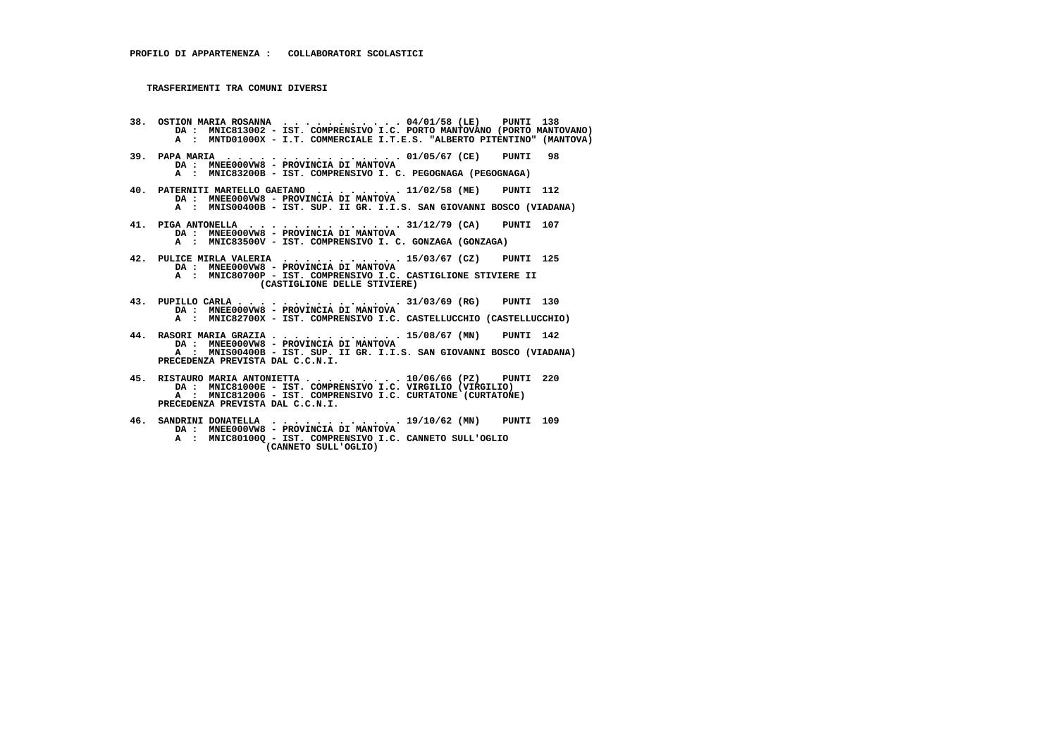- **38. OSTION MARIA ROSANNA . . . . . . . . . . . 04/01/58 (LE) PUNTI 138 DA : MNIC813002 IST. COMPRENSIVO I.C. PORTO MANTOVANO (PORTO MANTOVANO) A : MNTD01000X - I.T. COMMERCIALE I.T.E.S. "ALBERTO PITENTINO" (MANTOVA) 39. PAPA MARIA . . . . . . . . . . . . . . . . 01/05/67 (CE) PUNTI 98**
- **DA : MNEE000VW8 PROVINCIA DI MANTOVA A : MNIC83200B - IST. COMPRENSIVO I. C. PEGOGNAGA (PEGOGNAGA)**
- **40. PATERNITI MARTELLO GAETANO . . . . . . . . 11/02/58 (ME) PUNTI 112 DA : MNEE000VW8 - PROVINCIA DI MANTOVA A : MNIS00400B - IST. SUP. II GR. I.I.S. SAN GIOVANNI BOSCO (VIADANA)**
- **41. PIGA ANTONELLA . . . . . . . . . . . . . . 31/12/79 (CA) PUNTI 107 DA : MNEE000VW8 PROVINCIA DI MANTOVA A : MNIC83500V - IST. COMPRENSIVO I. C. GONZAGA (GONZAGA)**
	- **42. PULICE MIRLA VALERIA . . . . . . . . . . . 15/03/67 (CZ) PUNTI 125 DA : MNEE000VW8 - PROVINCIA DI MANTOVA**
- **A : MNIC80700P IST. COMPRENSIVO I.C. CASTIGLIONE STIVIERE II (CASTIGLIONE DELLE STIVIERE)**
- **43. PUPILLO CARLA . . . . . . . . . . . . . . . 31/03/69 (RG) PUNTI 130 DA : MNEE000VW8 PROVINCIA DI MANTOVA A : MNIC82700X - IST. COMPRENSIVO I.C. CASTELLUCCHIO (CASTELLUCCHIO)**
- **44. RASORI MARIA GRAZIA . . . . . . . . . . . . 15/08/67 (MN) PUNTI 142 DA : MNEE000VW8 - PROVINCIA DI MANTOVA A : MNIS00400B - IST. SUP. II GR. I.I.S. SAN GIOVANNI BOSCO (VIADANA) PRECEDENZA PREVISTA DAL C.C.N.I.**
- **45. RISTAURO MARIA ANTONIETTA . . . . . . . . . 10/06/66 (PZ) PUNTI 220 DA : MNIC81000E - IST. COMPRENSIVO I.C. VIRGILIO (VIRGILIO) A : MNIC812006 - IST. COMPRENSIVO I.C. CURTATONE (CURTATONE) PRECEDENZA PREVISTA DAL C.C.N.I.**
- **46. SANDRINI DONATELLA . . . . . . . . . . . . 19/10/62 (MN) PUNTI 109 DA : MNEE000VW8 PROVINCIA DI MANTOVA A : MNIC80100Q - IST. COMPRENSIVO I.C. CANNETO SULL'OGLIO (CANNETO SULL'OGLIO)**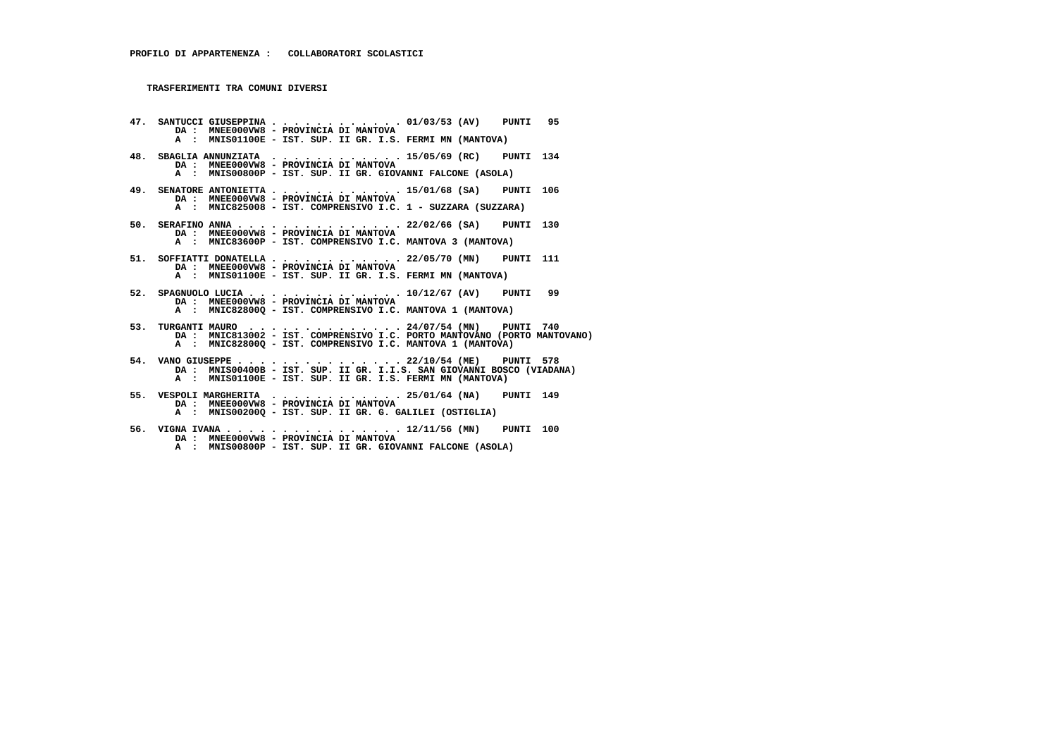**47. SANTUCCI GIUSEPPINA . . . . . . . . . . . . 01/03/53 (AV) PUNTI 95 DA : MNEE000VW8 - PROVINCIA DI MANTOVA A : MNIS01100E - IST. SUP. II GR. I.S. FERMI MN (MANTOVA) 48. SBAGLIA ANNUNZIATA . . . . . . . . . . . . 15/05/69 (RC) PUNTI 134 DA : MNEE000VW8 - PROVINCIA DI MANTOVA A : MNIS00800P - IST. SUP. II GR. GIOVANNI FALCONE (ASOLA) 49. SENATORE ANTONIETTA . . . . . . . . . . . . 15/01/68 (SA) PUNTI 106 DA : MNEE000VW8 - PROVINCIA DI MANTOVA A : MNIC825008 - IST. COMPRENSIVO I.C. 1 - SUZZARA (SUZZARA) 50. SERAFINO ANNA . . . . . . . . . . . . . . . 22/02/66 (SA) PUNTI 130 DA : MNEE000VW8 - PROVINCIA DI MANTOVA A : MNIC83600P - IST. COMPRENSIVO I.C. MANTOVA 3 (MANTOVA) 51. SOFFIATTI DONATELLA . . . . . . . . . . . . 22/05/70 (MN) PUNTI 111 DA : MNEE000VW8 - PROVINCIA DI MANTOVA A : MNIS01100E - IST. SUP. II GR. I.S. FERMI MN (MANTOVA) 52. SPAGNUOLO LUCIA . . . . . . . . . . . . . . 10/12/67 (AV) PUNTI 99 DA : MNEE000VW8 - PROVINCIA DI MANTOVA A : MNIC82800Q - IST. COMPRENSIVO I.C. MANTOVA 1 (MANTOVA) 53. TURGANTI MAURO . . . . . . . . . . . . . . 24/07/54 (MN) PUNTI 740 DA : MNIC813002 - IST. COMPRENSIVO I.C. PORTO MANTOVANO (PORTO MANTOVANO) A : MNIC82800Q - IST. COMPRENSIVO I.C. MANTOVA 1 (MANTOVA) 54. VANO GIUSEPPE . . . . . . . . . . . . . . . 22/10/54 (ME) PUNTI 578 DA : MNIS00400B - IST. SUP. II GR. I.I.S. SAN GIOVANNI BOSCO (VIADANA)A** : MNIS01100E - IST. SUP. II GR. I.S. FERMI MN (MANTOVA)  **55. VESPOLI MARGHERITA . . . . . . . . . . . . 25/01/64 (NA) PUNTI 149 DA : MNEE000VW8 - PROVINCIA DI MANTOVA A : MNIS00200Q - IST. SUP. II GR. G. GALILEI (OSTIGLIA)**

 **56. VIGNA IVANA . . . . . . . . . . . . . . . . 12/11/56 (MN) PUNTI 100 DA : MNEE000VW8 - PROVINCIA DI MANTOVA A : MNIS00800P - IST. SUP. II GR. GIOVANNI FALCONE (ASOLA)**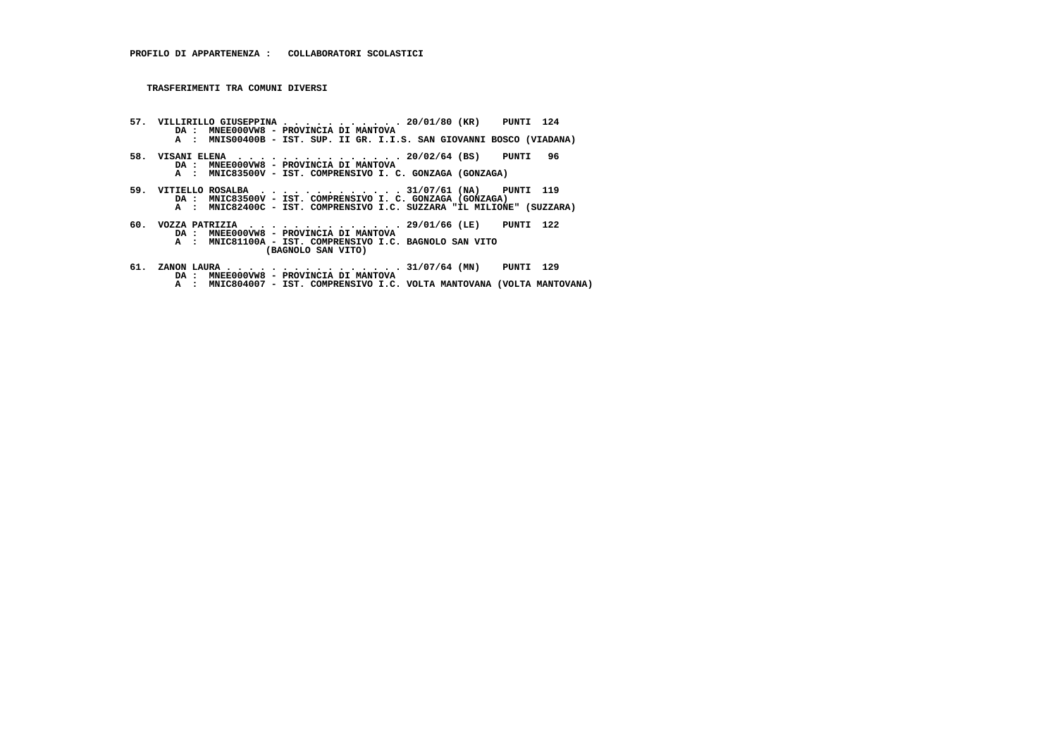- **57. VILLIRILLO GIUSEPPINA . . . . . . . . . . . 20/01/80 (KR) PUNTI 124 DA : MNEE000VW8 PROVINCIA DI MANTOVA A : MNIS00400B - IST. SUP. II GR. I.I.S. SAN GIOVANNI BOSCO (VIADANA) 58. VISANI ELENA . . . . . . . . . . . . . . . 20/02/64 (BS) PUNTI 96 DA : MNEE000VW8 - PROVINCIA DI MANTOVA A : MNIC83500V - IST. COMPRENSIVO I. C. GONZAGA (GONZAGA) 59. VITIELLO ROSALBA . . . . . . . . . . . . . 31/07/61 (NA) PUNTI 119 DA : MNIC83500V - IST. COMPRENSIVO I. C. GONZAGA (GONZAGA) A : MNIC82400C - IST. COMPRENSIVO I.C. SUZZARA "IL MILIONE" (SUZZARA) 60. VOZZA PATRIZIA . . . . . . . . . . . . . . 29/01/66 (LE) PUNTI 122 DA : MNEE000VW8 - PROVINCIA DI MANTOVA A : MNIC81100A - IST. COMPRENSIVO I.C. BAGNOLO SAN VITO (BAGNOLO SAN VITO)**
- **61. ZANON LAURA . . . . . . . . . . . . . . . . 31/07/64 (MN) PUNTI 129 DA : MNEE000VW8 - PROVINCIA DI MANTOVA A : MNIC804007 - IST. COMPRENSIVO I.C. VOLTA MANTOVANA (VOLTA MANTOVANA)**